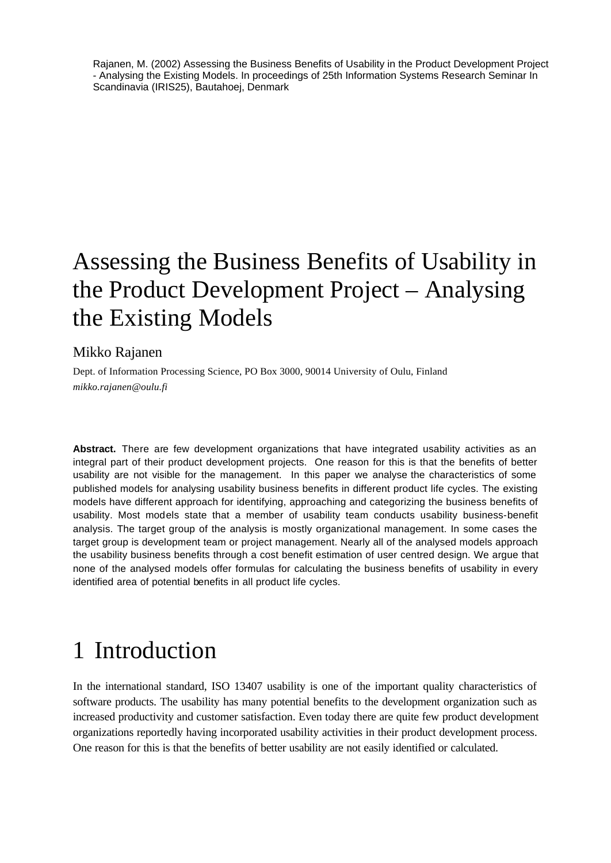Rajanen, M. (2002) Assessing the Business Benefits of Usability in the Product Development Project - Analysing the Existing Models. In proceedings of 25th Information Systems Research Seminar In Scandinavia (IRIS25), Bautahoej, Denmark

# Assessing the Business Benefits of Usability in the Product Development Project – Analysing the Existing Models

### Mikko Rajanen

Dept. of Information Processing Science, PO Box 3000, 90014 University of Oulu, Finland *mikko.rajanen@oulu.fi*

**Abstract.** There are few development organizations that have integrated usability activities as an integral part of their product development projects. One reason for this is that the benefits of better usability are not visible for the management. In this paper we analyse the characteristics of some published models for analysing usability business benefits in different product life cycles. The existing models have different approach for identifying, approaching and categorizing the business benefits of usability. Most models state that a member of usability team conducts usability business-benefit analysis. The target group of the analysis is mostly organizational management. In some cases the target group is development team or project management. Nearly all of the analysed models approach the usability business benefits through a cost benefit estimation of user centred design. We argue that none of the analysed models offer formulas for calculating the business benefits of usability in every identified area of potential benefits in all product life cycles.

# 1 Introduction

In the international standard, ISO 13407 usability is one of the important quality characteristics of software products. The usability has many potential benefits to the development organization such as increased productivity and customer satisfaction. Even today there are quite few product development organizations reportedly having incorporated usability activities in their product development process. One reason for this is that the benefits of better usability are not easily identified or calculated.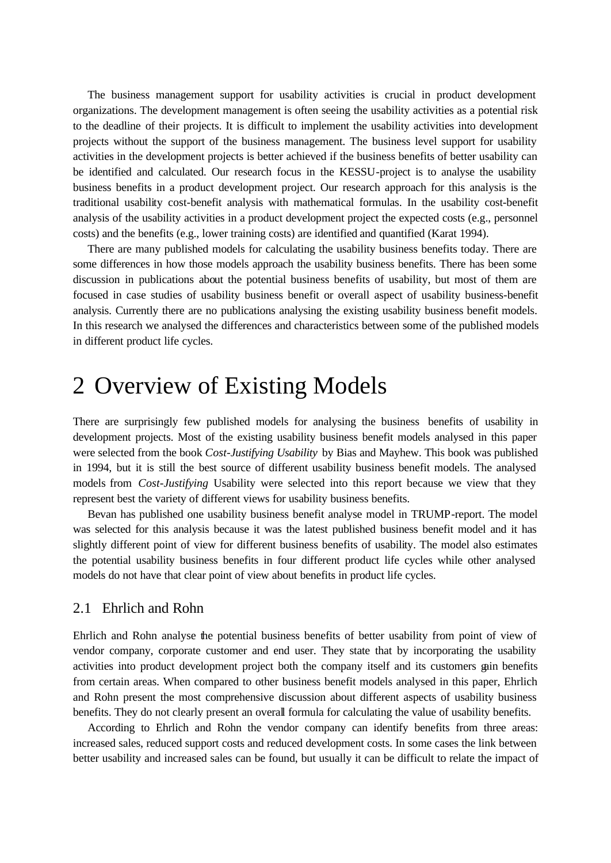The business management support for usability activities is crucial in product development organizations. The development management is often seeing the usability activities as a potential risk to the deadline of their projects. It is difficult to implement the usability activities into development projects without the support of the business management. The business level support for usability activities in the development projects is better achieved if the business benefits of better usability can be identified and calculated. Our research focus in the KESSU-project is to analyse the usability business benefits in a product development project. Our research approach for this analysis is the traditional usability cost-benefit analysis with mathematical formulas. In the usability cost-benefit analysis of the usability activities in a product development project the expected costs (e.g., personnel costs) and the benefits (e.g., lower training costs) are identified and quantified (Karat 1994).

There are many published models for calculating the usability business benefits today. There are some differences in how those models approach the usability business benefits. There has been some discussion in publications about the potential business benefits of usability, but most of them are focused in case studies of usability business benefit or overall aspect of usability business-benefit analysis. Currently there are no publications analysing the existing usability business benefit models. In this research we analysed the differences and characteristics between some of the published models in different product life cycles.

### 2 Overview of Existing Models

There are surprisingly few published models for analysing the business benefits of usability in development projects. Most of the existing usability business benefit models analysed in this paper were selected from the book *Cost-Justifying Usability* by Bias and Mayhew. This book was published in 1994, but it is still the best source of different usability business benefit models. The analysed models from *Cost-Justifying* Usability were selected into this report because we view that they represent best the variety of different views for usability business benefits.

Bevan has published one usability business benefit analyse model in TRUMP-report. The model was selected for this analysis because it was the latest published business benefit model and it has slightly different point of view for different business benefits of usability. The model also estimates the potential usability business benefits in four different product life cycles while other analysed models do not have that clear point of view about benefits in product life cycles.

#### 2.1 Ehrlich and Rohn

Ehrlich and Rohn analyse the potential business benefits of better usability from point of view of vendor company, corporate customer and end user. They state that by incorporating the usability activities into product development project both the company itself and its customers gain benefits from certain areas. When compared to other business benefit models analysed in this paper, Ehrlich and Rohn present the most comprehensive discussion about different aspects of usability business benefits. They do not clearly present an overall formula for calculating the value of usability benefits.

According to Ehrlich and Rohn the vendor company can identify benefits from three areas: increased sales, reduced support costs and reduced development costs. In some cases the link between better usability and increased sales can be found, but usually it can be difficult to relate the impact of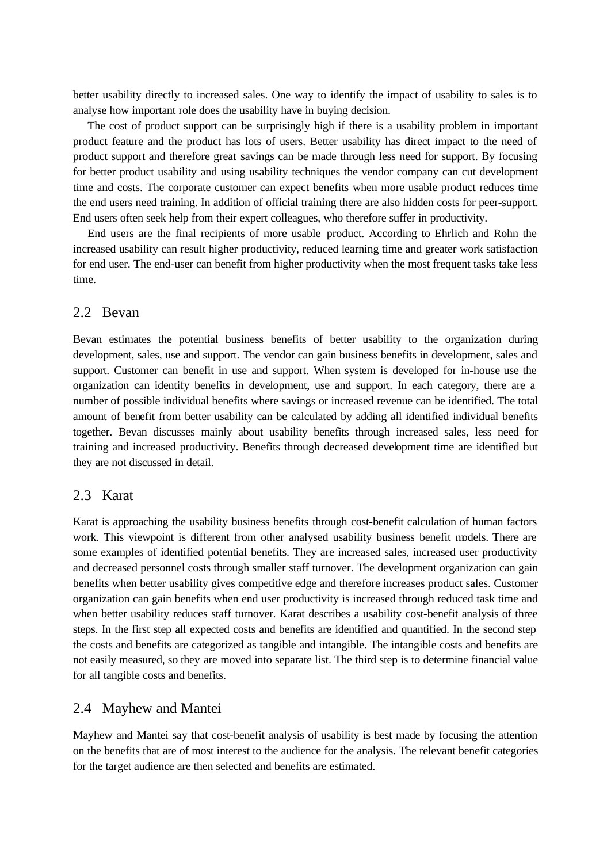better usability directly to increased sales. One way to identify the impact of usability to sales is to analyse how important role does the usability have in buying decision.

The cost of product support can be surprisingly high if there is a usability problem in important product feature and the product has lots of users. Better usability has direct impact to the need of product support and therefore great savings can be made through less need for support. By focusing for better product usability and using usability techniques the vendor company can cut development time and costs. The corporate customer can expect benefits when more usable product reduces time the end users need training. In addition of official training there are also hidden costs for peer-support. End users often seek help from their expert colleagues, who therefore suffer in productivity.

End users are the final recipients of more usable product. According to Ehrlich and Rohn the increased usability can result higher productivity, reduced learning time and greater work satisfaction for end user. The end-user can benefit from higher productivity when the most frequent tasks take less time.

#### 2.2 Bevan

Bevan estimates the potential business benefits of better usability to the organization during development, sales, use and support. The vendor can gain business benefits in development, sales and support. Customer can benefit in use and support. When system is developed for in-house use the organization can identify benefits in development, use and support. In each category, there are a number of possible individual benefits where savings or increased revenue can be identified. The total amount of benefit from better usability can be calculated by adding all identified individual benefits together. Bevan discusses mainly about usability benefits through increased sales, less need for training and increased productivity. Benefits through decreased development time are identified but they are not discussed in detail.

#### 2.3 Karat

Karat is approaching the usability business benefits through cost-benefit calculation of human factors work. This viewpoint is different from other analysed usability business benefit models. There are some examples of identified potential benefits. They are increased sales, increased user productivity and decreased personnel costs through smaller staff turnover. The development organization can gain benefits when better usability gives competitive edge and therefore increases product sales. Customer organization can gain benefits when end user productivity is increased through reduced task time and when better usability reduces staff turnover. Karat describes a usability cost-benefit analysis of three steps. In the first step all expected costs and benefits are identified and quantified. In the second step the costs and benefits are categorized as tangible and intangible. The intangible costs and benefits are not easily measured, so they are moved into separate list. The third step is to determine financial value for all tangible costs and benefits.

#### 2.4 Mayhew and Mantei

Mayhew and Mantei say that cost-benefit analysis of usability is best made by focusing the attention on the benefits that are of most interest to the audience for the analysis. The relevant benefit categories for the target audience are then selected and benefits are estimated.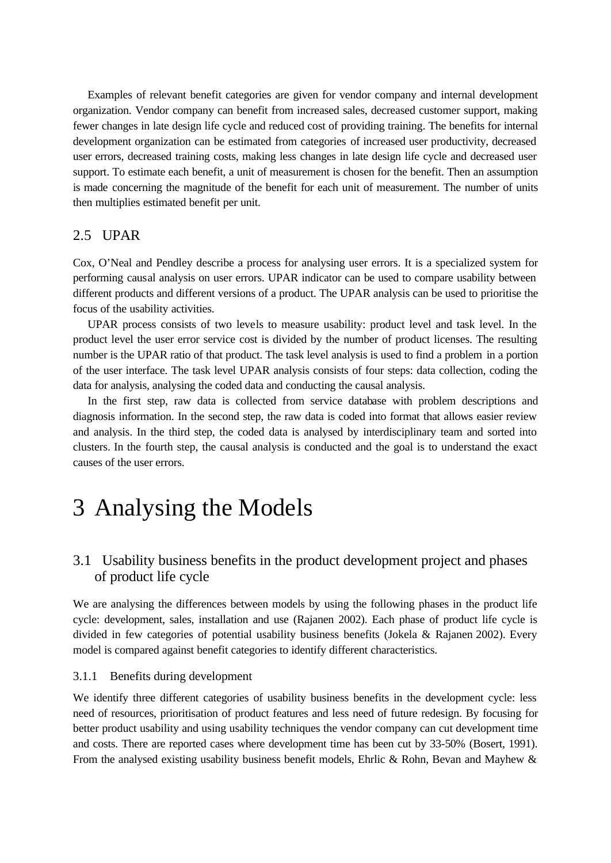Examples of relevant benefit categories are given for vendor company and internal development organization. Vendor company can benefit from increased sales, decreased customer support, making fewer changes in late design life cycle and reduced cost of providing training. The benefits for internal development organization can be estimated from categories of increased user productivity, decreased user errors, decreased training costs, making less changes in late design life cycle and decreased user support. To estimate each benefit, a unit of measurement is chosen for the benefit. Then an assumption is made concerning the magnitude of the benefit for each unit of measurement. The number of units then multiplies estimated benefit per unit.

#### 2.5 UPAR

Cox, O'Neal and Pendley describe a process for analysing user errors. It is a specialized system for performing causal analysis on user errors. UPAR indicator can be used to compare usability between different products and different versions of a product. The UPAR analysis can be used to prioritise the focus of the usability activities.

UPAR process consists of two levels to measure usability: product level and task level. In the product level the user error service cost is divided by the number of product licenses. The resulting number is the UPAR ratio of that product. The task level analysis is used to find a problem in a portion of the user interface. The task level UPAR analysis consists of four steps: data collection, coding the data for analysis, analysing the coded data and conducting the causal analysis.

In the first step, raw data is collected from service database with problem descriptions and diagnosis information. In the second step, the raw data is coded into format that allows easier review and analysis. In the third step, the coded data is analysed by interdisciplinary team and sorted into clusters. In the fourth step, the causal analysis is conducted and the goal is to understand the exact causes of the user errors.

## 3 Analysing the Models

### 3.1 Usability business benefits in the product development project and phases of product life cycle

We are analysing the differences between models by using the following phases in the product life cycle: development, sales, installation and use (Rajanen 2002). Each phase of product life cycle is divided in few categories of potential usability business benefits (Jokela & Rajanen 2002). Every model is compared against benefit categories to identify different characteristics.

#### 3.1.1 Benefits during development

We identify three different categories of usability business benefits in the development cycle: less need of resources, prioritisation of product features and less need of future redesign. By focusing for better product usability and using usability techniques the vendor company can cut development time and costs. There are reported cases where development time has been cut by 33-50% (Bosert, 1991). From the analysed existing usability business benefit models, Ehrlic & Rohn, Bevan and Mayhew  $\&$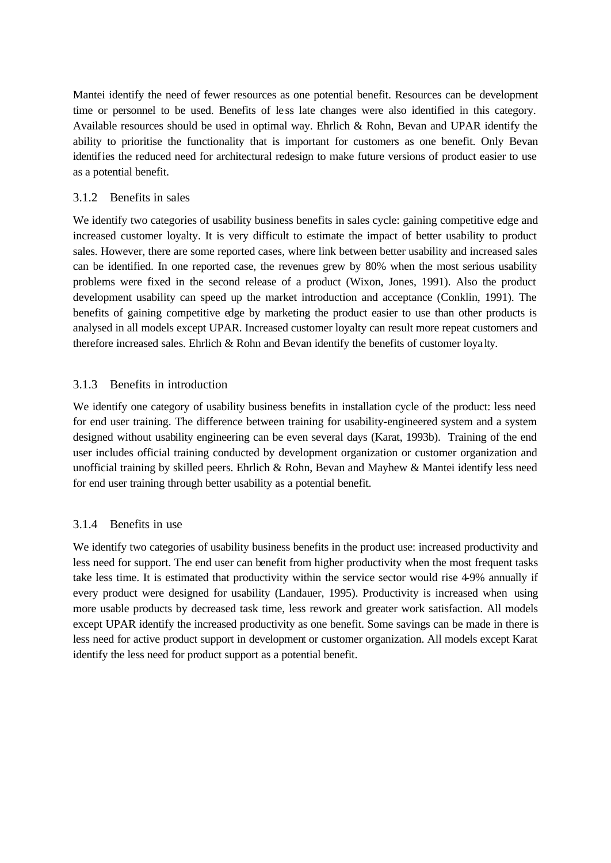Mantei identify the need of fewer resources as one potential benefit. Resources can be development time or personnel to be used. Benefits of le ss late changes were also identified in this category. Available resources should be used in optimal way. Ehrlich & Rohn, Bevan and UPAR identify the ability to prioritise the functionality that is important for customers as one benefit. Only Bevan identifies the reduced need for architectural redesign to make future versions of product easier to use as a potential benefit.

#### 3.1.2 Benefits in sales

We identify two categories of usability business benefits in sales cycle: gaining competitive edge and increased customer loyalty. It is very difficult to estimate the impact of better usability to product sales. However, there are some reported cases, where link between better usability and increased sales can be identified. In one reported case, the revenues grew by 80% when the most serious usability problems were fixed in the second release of a product (Wixon, Jones, 1991). Also the product development usability can speed up the market introduction and acceptance (Conklin, 1991). The benefits of gaining competitive edge by marketing the product easier to use than other products is analysed in all models except UPAR. Increased customer loyalty can result more repeat customers and therefore increased sales. Ehrlich & Rohn and Bevan identify the benefits of customer loya lty.

#### 3.1.3 Benefits in introduction

We identify one category of usability business benefits in installation cycle of the product: less need for end user training. The difference between training for usability-engineered system and a system designed without usability engineering can be even several days (Karat, 1993b). Training of the end user includes official training conducted by development organization or customer organization and unofficial training by skilled peers. Ehrlich & Rohn, Bevan and Mayhew & Mantei identify less need for end user training through better usability as a potential benefit.

#### 3.1.4 Benefits in use

We identify two categories of usability business benefits in the product use: increased productivity and less need for support. The end user can benefit from higher productivity when the most frequent tasks take less time. It is estimated that productivity within the service sector would rise 4-9% annually if every product were designed for usability (Landauer, 1995). Productivity is increased when using more usable products by decreased task time, less rework and greater work satisfaction. All models except UPAR identify the increased productivity as one benefit. Some savings can be made in there is less need for active product support in development or customer organization. All models except Karat identify the less need for product support as a potential benefit.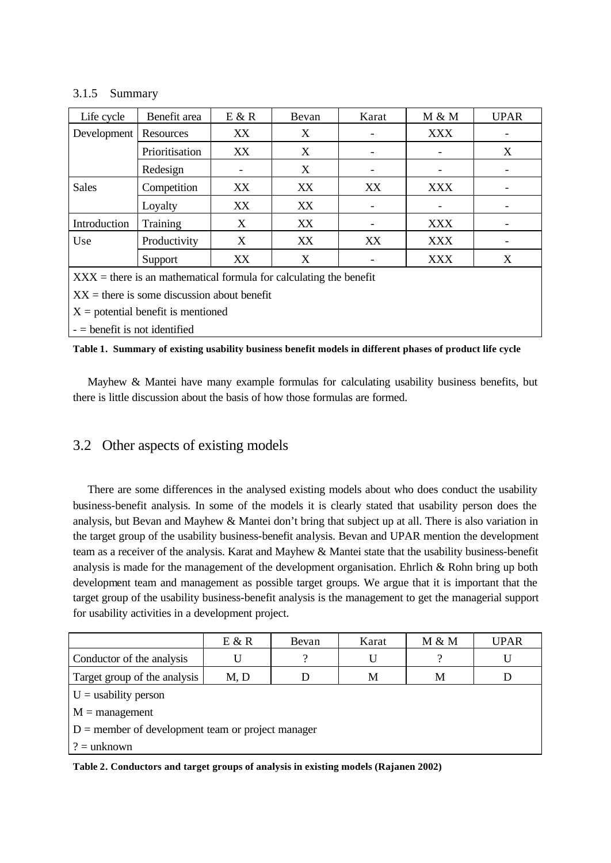#### 3.1.5 Summary

| Life cycle                                                           | Benefit area   | E & R | Bevan | Karat | M & M      | <b>UPAR</b> |  |  |
|----------------------------------------------------------------------|----------------|-------|-------|-------|------------|-------------|--|--|
| Development                                                          | Resources      | XX    | X     |       | <b>XXX</b> |             |  |  |
|                                                                      | Prioritisation | XX    | X     |       |            | X           |  |  |
|                                                                      | Redesign       |       | X     |       |            |             |  |  |
| <b>Sales</b>                                                         | Competition    | XX.   | XX    | XX    | <b>XXX</b> |             |  |  |
|                                                                      | Loyalty        | XX    | XX    |       |            |             |  |  |
| Introduction                                                         | Training       | X     | XX    |       | XXX        |             |  |  |
| Use                                                                  | Productivity   | X     | XX    | XX    | <b>XXX</b> |             |  |  |
|                                                                      | Support        | XX.   | X     |       | <b>XXX</b> | X           |  |  |
| $XXX =$ there is an mathematical formula for calculating the benefit |                |       |       |       |            |             |  |  |

 $XX =$  there is some discussion about benefit

 $X =$  potential benefit is mentioned

- = benefit is not identified

|  | Table 1. Summary of existing usability business benefit models in different phases of product life cycle |  |  |  |  |  |  |  |  |  |
|--|----------------------------------------------------------------------------------------------------------|--|--|--|--|--|--|--|--|--|
|--|----------------------------------------------------------------------------------------------------------|--|--|--|--|--|--|--|--|--|

Mayhew & Mantei have many example formulas for calculating usability business benefits, but there is little discussion about the basis of how those formulas are formed.

### 3.2 Other aspects of existing models

There are some differences in the analysed existing models about who does conduct the usability business-benefit analysis. In some of the models it is clearly stated that usability person does the analysis, but Bevan and Mayhew & Mantei don't bring that subject up at all. There is also variation in the target group of the usability business-benefit analysis. Bevan and UPAR mention the development team as a receiver of the analysis. Karat and Mayhew & Mantei state that the usability business-benefit analysis is made for the management of the development organisation. Ehrlich & Rohn bring up both development team and management as possible target groups. We argue that it is important that the target group of the usability business-benefit analysis is the management to get the managerial support for usability activities in a development project.

|                                                     | E & R | Bevan | Karat | M & M | <b>UPAR</b> |  |  |  |
|-----------------------------------------------------|-------|-------|-------|-------|-------------|--|--|--|
| Conductor of the analysis                           | U     |       | U     |       |             |  |  |  |
| Target group of the analysis                        | M, D  |       | M     | M     |             |  |  |  |
| $U =$ usability person                              |       |       |       |       |             |  |  |  |
| $M =$ management                                    |       |       |       |       |             |  |  |  |
| $D =$ member of development team or project manager |       |       |       |       |             |  |  |  |
| $? =$ unknown                                       |       |       |       |       |             |  |  |  |

**Table 2. Conductors and target groups of analysis in existing models (Rajanen 2002)**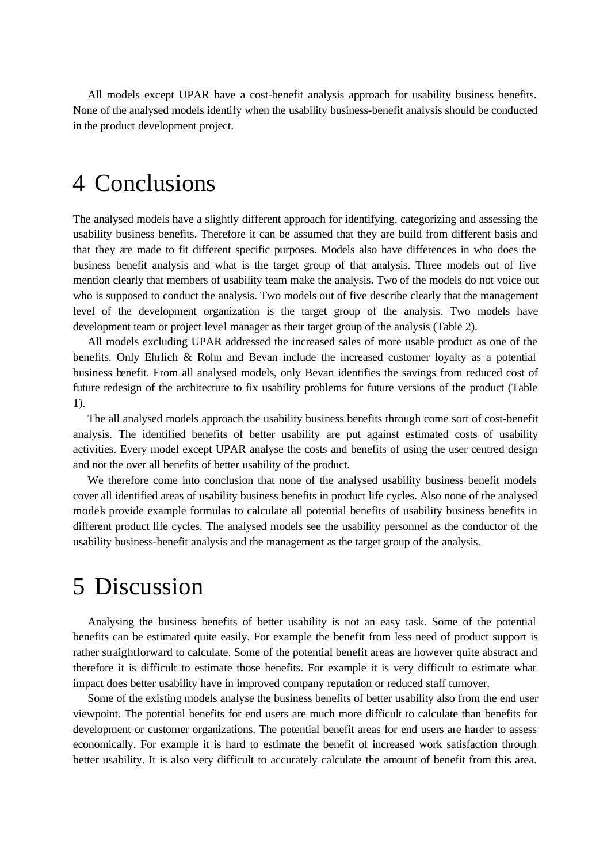All models except UPAR have a cost-benefit analysis approach for usability business benefits. None of the analysed models identify when the usability business-benefit analysis should be conducted in the product development project.

### 4 Conclusions

The analysed models have a slightly different approach for identifying, categorizing and assessing the usability business benefits. Therefore it can be assumed that they are build from different basis and that they are made to fit different specific purposes. Models also have differences in who does the business benefit analysis and what is the target group of that analysis. Three models out of five mention clearly that members of usability team make the analysis. Two of the models do not voice out who is supposed to conduct the analysis. Two models out of five describe clearly that the management level of the development organization is the target group of the analysis. Two models have development team or project level manager as their target group of the analysis (Table 2).

All models excluding UPAR addressed the increased sales of more usable product as one of the benefits. Only Ehrlich & Rohn and Bevan include the increased customer loyalty as a potential business benefit. From all analysed models, only Bevan identifies the savings from reduced cost of future redesign of the architecture to fix usability problems for future versions of the product (Table 1).

The all analysed models approach the usability business benefits through come sort of cost-benefit analysis. The identified benefits of better usability are put against estimated costs of usability activities. Every model except UPAR analyse the costs and benefits of using the user centred design and not the over all benefits of better usability of the product.

We therefore come into conclusion that none of the analysed usability business benefit models cover all identified areas of usability business benefits in product life cycles. Also none of the analysed models provide example formulas to calculate all potential benefits of usability business benefits in different product life cycles. The analysed models see the usability personnel as the conductor of the usability business-benefit analysis and the management as the target group of the analysis.

## 5 Discussion

Analysing the business benefits of better usability is not an easy task. Some of the potential benefits can be estimated quite easily. For example the benefit from less need of product support is rather straightforward to calculate. Some of the potential benefit areas are however quite abstract and therefore it is difficult to estimate those benefits. For example it is very difficult to estimate what impact does better usability have in improved company reputation or reduced staff turnover.

Some of the existing models analyse the business benefits of better usability also from the end user viewpoint. The potential benefits for end users are much more difficult to calculate than benefits for development or customer organizations. The potential benefit areas for end users are harder to assess economically. For example it is hard to estimate the benefit of increased work satisfaction through better usability. It is also very difficult to accurately calculate the amount of benefit from this area.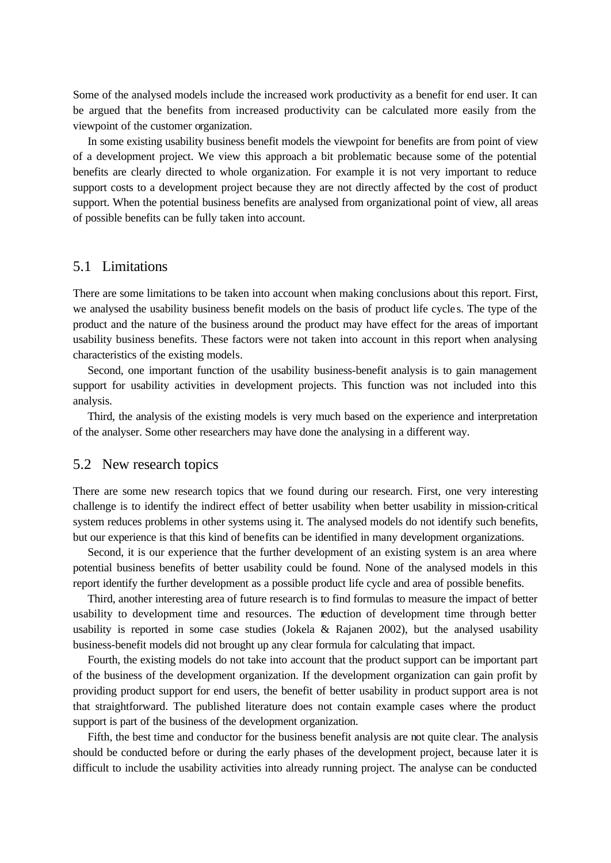Some of the analysed models include the increased work productivity as a benefit for end user. It can be argued that the benefits from increased productivity can be calculated more easily from the viewpoint of the customer organization.

In some existing usability business benefit models the viewpoint for benefits are from point of view of a development project. We view this approach a bit problematic because some of the potential benefits are clearly directed to whole organization. For example it is not very important to reduce support costs to a development project because they are not directly affected by the cost of product support. When the potential business benefits are analysed from organizational point of view, all areas of possible benefits can be fully taken into account.

#### 5.1 Limitations

There are some limitations to be taken into account when making conclusions about this report. First, we analysed the usability business benefit models on the basis of product life cycle s. The type of the product and the nature of the business around the product may have effect for the areas of important usability business benefits. These factors were not taken into account in this report when analysing characteristics of the existing models.

Second, one important function of the usability business-benefit analysis is to gain management support for usability activities in development projects. This function was not included into this analysis.

Third, the analysis of the existing models is very much based on the experience and interpretation of the analyser. Some other researchers may have done the analysing in a different way.

#### 5.2 New research topics

There are some new research topics that we found during our research. First, one very interesting challenge is to identify the indirect effect of better usability when better usability in mission-critical system reduces problems in other systems using it. The analysed models do not identify such benefits, but our experience is that this kind of benefits can be identified in many development organizations.

Second, it is our experience that the further development of an existing system is an area where potential business benefits of better usability could be found. None of the analysed models in this report identify the further development as a possible product life cycle and area of possible benefits.

Third, another interesting area of future research is to find formulas to measure the impact of better usability to development time and resources. The reduction of development time through better usability is reported in some case studies (Jokela  $&$  Rajanen 2002), but the analysed usability business-benefit models did not brought up any clear formula for calculating that impact.

Fourth, the existing models do not take into account that the product support can be important part of the business of the development organization. If the development organization can gain profit by providing product support for end users, the benefit of better usability in product support area is not that straightforward. The published literature does not contain example cases where the product support is part of the business of the development organization.

Fifth, the best time and conductor for the business benefit analysis are not quite clear. The analysis should be conducted before or during the early phases of the development project, because later it is difficult to include the usability activities into already running project. The analyse can be conducted